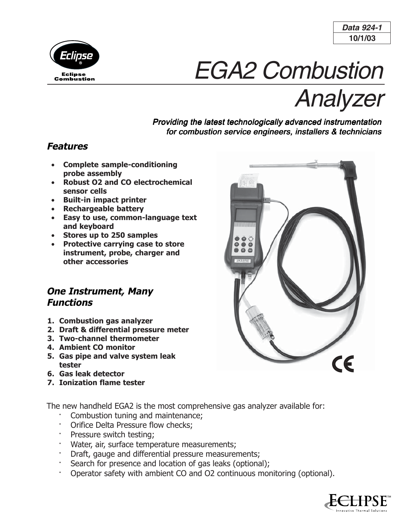



# EGA2 Combustion

Analyzer

### Providing the latest technologically advanced instrumentation for combustion service engineers, installers & technicians

## **Features**

- **Complete sample-conditioning probe assembly**
- **Robust O2 and CO electrochemical sensor cells**
- **Built-in impact printer**
- **Rechargeable battery**
- **Easy to use, common-language text and keyboard**
- **Stores up to 250 samples**
- **Protective carrying case to store instrument, probe, charger and other accessories**

## **One Instrument, Many Functions**

- **1. Combustion gas analyzer**
- **2. Draft & differential pressure meter**
- **3. Two-channel thermometer**
- **4. Ambient CO monitor**
- **5. Gas pipe and valve system leak tester**
- **6. Gas leak detector**
- **7. Ionization flame tester**

The new handheld EGA2 is the most comprehensive gas analyzer available for:

- Combustion tuning and maintenance;
- Orifice Delta Pressure flow checks;
- Pressure switch testing;
- Water, air, surface temperature measurements;
- Draft, gauge and differential pressure measurements;
- Search for presence and location of gas leaks (optional);
- · Operator safety with ambient CO and O2 continuous monitoring (optional).



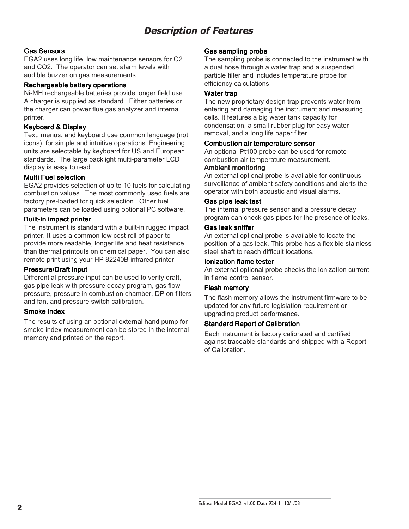# **Description of Features**

#### Gas Sensors

EGA2 uses long life, low maintenance sensors for O2 and CO2. The operator can set alarm levels with audible buzzer on gas measurements.

#### Rechargeable battery operations

Ni-MH rechargeable batteries provide longer field use. A charger is supplied as standard. Either batteries or the charger can power flue gas analyzer and internal printer.

#### Keyboard & Display

Text, menus, and keyboard use common language (not icons), for simple and intuitive operations. Engineering units are selectable by keyboard for US and European standards. The large backlight multi-parameter LCD display is easy to read.

#### Multi Fuel selection

EGA2 provides selection of up to 10 fuels for calculating combustion values. The most commonly used fuels are factory pre-loaded for quick selection. Other fuel parameters can be loaded using optional PC software.

#### Built-in impact printer

The instrument is standard with a built-in rugged impact printer. It uses a common low cost roll of paper to provide more readable, longer life and heat resistance than thermal printouts on chemical paper. You can also remote print using your HP 82240B infrared printer.

#### **Pressure/Draft input**

Differential pressure input can be used to verify draft, gas pipe leak with pressure decay program, gas flow pressure, pressure in combustion chamber, DP on filters and fan, and pressure switch calibration.

#### Smoke index

The results of using an optional external hand pump for smoke index measurement can be stored in the internal memory and printed on the report.

#### Gas sampling probe

The sampling probe is connected to the instrument with a dual hose through a water trap and a suspended particle filter and includes temperature probe for efficiency calculations.

#### Water trap

The new proprietary design trap prevents water from entering and damaging the instrument and measuring cells. It features a big water tank capacity for condensation, a small rubber plug for easy water removal, and a long life paper filter.

#### Combustion air temperature sensor

An optional Pt100 probe can be used for remote combustion air temperature measurement.

#### Ambient monitoring

An external optional probe is available for continuous surveillance of ambient safety conditions and alerts the operator with both acoustic and visual alarms.

#### Gas pipe leak test

The internal pressure sensor and a pressure decay program can check gas pipes for the presence of leaks.

#### Gas leak sniffer

An external optional probe is available to locate the position of a gas leak. This probe has a flexible stainless steel shaft to reach difficult locations.

#### Ionization flame tester

An external optional probe checks the ionization current in flame control sensor.

#### Flash memory

The flash memory allows the instrument firmware to be updated for any future legislation requirement or upgrading product performance.

#### Standard Report of Calibration

Each instrument is factory calibrated and certified against traceable standards and shipped with a Report of Calibration.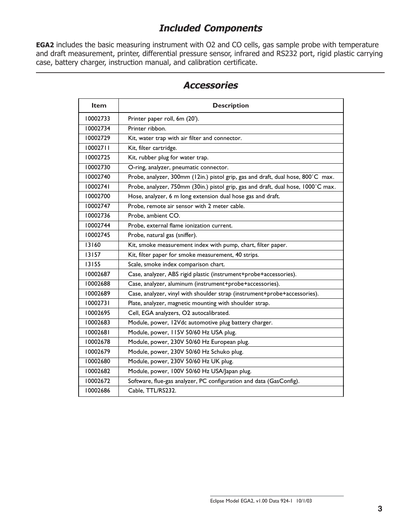# **Included Components**

**EGA2** includes the basic measuring instrument with O2 and CO cells, gas sample probe with temperature and draft measurement, printer, differential pressure sensor, infrared and RS232 port, rigid plastic carrying case, battery charger, instruction manual, and calibration certificate.

| Item     | <b>Description</b>                                                                |  |  |  |  |
|----------|-----------------------------------------------------------------------------------|--|--|--|--|
| 10002733 | Printer paper roll, 6m (20').                                                     |  |  |  |  |
| 10002734 | Printer ribbon.                                                                   |  |  |  |  |
| 10002729 | Kit, water trap with air filter and connector.                                    |  |  |  |  |
| 10002711 | Kit, filter cartridge.                                                            |  |  |  |  |
| 10002725 | Kit, rubber plug for water trap.                                                  |  |  |  |  |
| 10002730 | O-ring, analyzer, pneumatic connector.                                            |  |  |  |  |
| 10002740 | Probe, analyzer, 300mm (12in.) pistol grip, gas and draft, dual hose, 800°C max.  |  |  |  |  |
| 10002741 | Probe, analyzer, 750mm (30in.) pistol grip, gas and draft, dual hose, 1000°C max. |  |  |  |  |
| 10002700 | Hose, analyzer, 6 m long extension dual hose gas and draft.                       |  |  |  |  |
| 10002747 | Probe, remote air sensor with 2 meter cable.                                      |  |  |  |  |
| 10002736 | Probe, ambient CO.                                                                |  |  |  |  |
| 10002744 | Probe, external flame ionization current.                                         |  |  |  |  |
| 10002745 | Probe, natural gas (sniffer).                                                     |  |  |  |  |
| 13160    | Kit, smoke measurement index with pump, chart, filter paper.                      |  |  |  |  |
| 13157    | Kit, filter paper for smoke measurement, 40 strips.                               |  |  |  |  |
| 13155    | Scale, smoke index comparison chart.                                              |  |  |  |  |
| 10002687 | Case, analyzer, ABS rigid plastic (instrument+probe+accessories).                 |  |  |  |  |
| 10002688 | Case, analyzer, aluminum (instrument+probe+accessories).                          |  |  |  |  |
| 10002689 | Case, analyzer, vinyl with shoulder strap (instrument+probe+accessories).         |  |  |  |  |
| 10002731 | Plate, analyzer, magnetic mounting with shoulder strap.                           |  |  |  |  |
| 10002695 | Cell, EGA analyzers, O2 autocalibrated.                                           |  |  |  |  |
| 10002683 | Module, power, 12Vdc automotive plug battery charger.                             |  |  |  |  |
| 10002681 | Module, power, 115V 50/60 Hz USA plug.                                            |  |  |  |  |
| 10002678 | Module, power, 230V 50/60 Hz European plug.                                       |  |  |  |  |
| 10002679 | Module, power, 230V 50/60 Hz Schuko plug.                                         |  |  |  |  |
| 10002680 | Module, power, 230V 50/60 Hz UK plug.                                             |  |  |  |  |
| 10002682 | Module, power, 100V 50/60 Hz USA/Japan plug.                                      |  |  |  |  |
| 10002672 | Software, flue-gas analyzer, PC configuration and data (GasConfig).               |  |  |  |  |
| 10002686 | Cable, TTL/RS232.                                                                 |  |  |  |  |

## **Accessories**